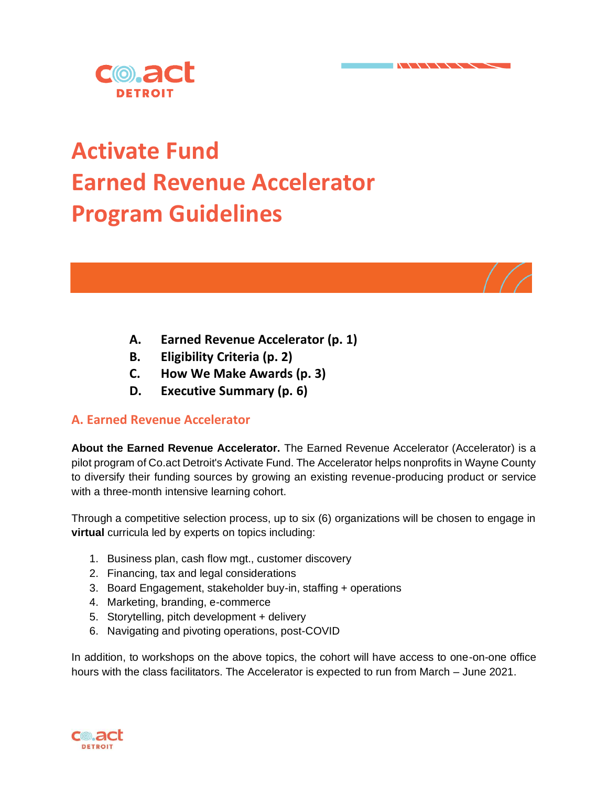

# **Activate Fund Earned Revenue Accelerator Program Guidelines**

- **A. Earned Revenue Accelerator (p. 1)**
- **B. Eligibility Criteria (p. 2)**
- **C. How We Make Awards (p. 3)**
- **D. Executive Summary (p. 6)**

# **A. Earned Revenue Accelerator**

**About the Earned Revenue Accelerator.** The Earned Revenue Accelerator (Accelerator) is a pilot program of Co.act Detroit's Activate Fund. The Accelerator helps nonprofits in Wayne County to diversify their funding sources by growing an existing revenue-producing product or service with a three-month intensive learning cohort.

Through a competitive selection process, up to six (6) organizations will be chosen to engage in **virtual** curricula led by experts on topics including:

- 1. Business plan, cash flow mgt., customer discovery
- 2. Financing, tax and legal considerations
- 3. Board Engagement, stakeholder buy-in, staffing + operations
- 4. Marketing, branding, e-commerce
- 5. Storytelling, pitch development + delivery
- 6. Navigating and pivoting operations, post-COVID

In addition, to workshops on the above topics, the cohort will have access to one-on-one office hours with the class facilitators. The Accelerator is expected to run from March – June 2021.

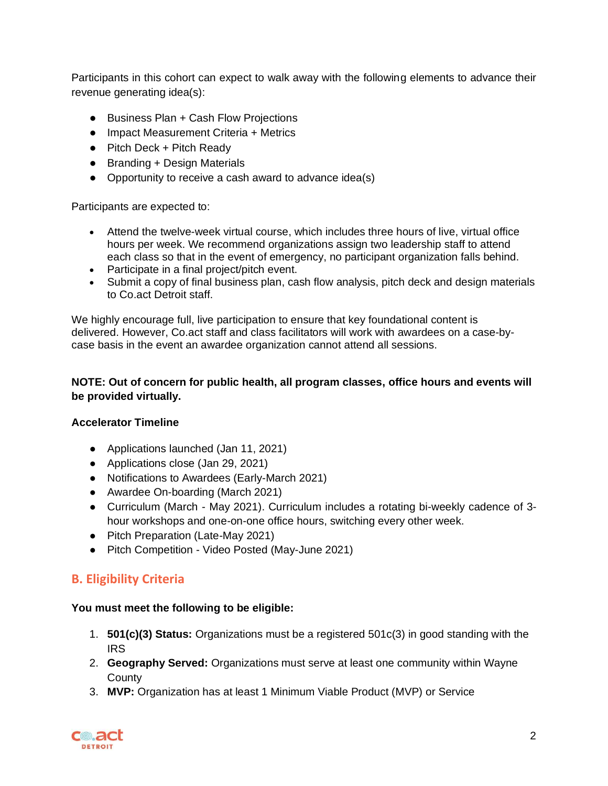Participants in this cohort can expect to walk away with the following elements to advance their revenue generating idea(s):

- Business Plan + Cash Flow Projections
- Impact Measurement Criteria + Metrics
- Pitch Deck + Pitch Ready
- Branding + Design Materials
- Opportunity to receive a cash award to advance idea(s)

Participants are expected to:

- Attend the twelve-week virtual course, which includes three hours of live, virtual office hours per week. We recommend organizations assign two leadership staff to attend each class so that in the event of emergency, no participant organization falls behind.
- Participate in a final project/pitch event.
- Submit a copy of final business plan, cash flow analysis, pitch deck and design materials to Co.act Detroit staff.

We highly encourage full, live participation to ensure that key foundational content is delivered. However, Co.act staff and class facilitators will work with awardees on a case-bycase basis in the event an awardee organization cannot attend all sessions.

#### **NOTE: Out of concern for public health, all program classes, office hours and events will be provided virtually.**

#### **Accelerator Timeline**

- Applications launched (Jan 11, 2021)
- Applications close (Jan 29, 2021)
- Notifications to Awardees (Early-March 2021)
- Awardee On-boarding (March 2021)
- Curriculum (March May 2021). Curriculum includes a rotating bi-weekly cadence of 3 hour workshops and one-on-one office hours, switching every other week.
- Pitch Preparation (Late-May 2021)
- Pitch Competition Video Posted (May-June 2021)

# **B. Eligibility Criteria**

#### **You must meet the following to be eligible:**

- 1. **501(c)(3) Status:** Organizations must be a registered 501c(3) in good standing with the IRS
- 2. **Geography Served:** Organizations must serve at least one community within Wayne **County**
- 3. **MVP:** Organization has at least 1 Minimum Viable Product (MVP) or Service

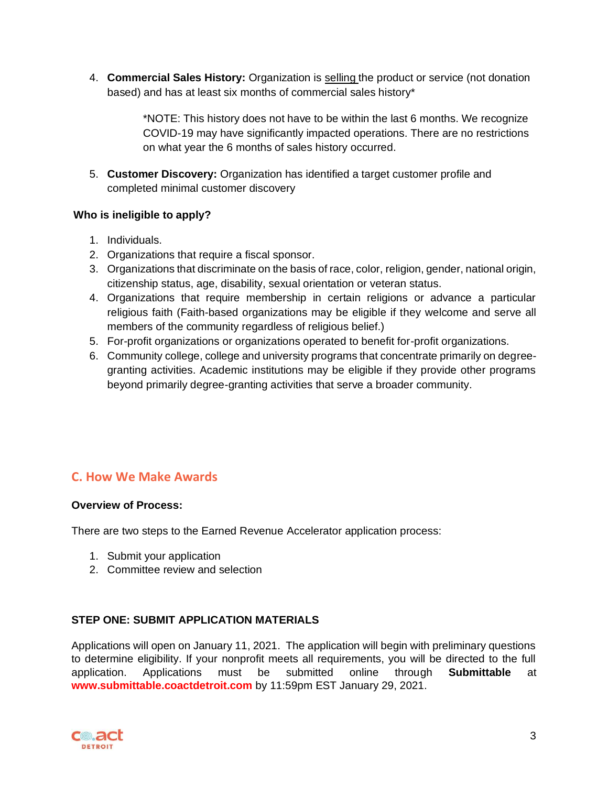4. **Commercial Sales History:** Organization is selling the product or service (not donation based) and has at least six months of commercial sales history\*

> \*NOTE: This history does not have to be within the last 6 months. We recognize COVID-19 may have significantly impacted operations. There are no restrictions on what year the 6 months of sales history occurred.

5. **Customer Discovery:** Organization has identified a target customer profile and completed minimal customer discovery

## **Who is ineligible to apply?**

- 1. Individuals.
- 2. Organizations that require a fiscal sponsor.
- 3. Organizations that discriminate on the basis of race, color, religion, gender, national origin, citizenship status, age, disability, sexual orientation or veteran status.
- 4. Organizations that require membership in certain religions or advance a particular religious faith (Faith-based organizations may be eligible if they welcome and serve all members of the community regardless of religious belief.)
- 5. For-profit organizations or organizations operated to benefit for-profit organizations.
- 6. Community college, college and university programs that concentrate primarily on degreegranting activities. Academic institutions may be eligible if they provide other programs beyond primarily degree-granting activities that serve a broader community.

# **C. How We Make Awards**

#### **Overview of Process:**

There are two steps to the Earned Revenue Accelerator application process:

- 1. Submit your application
- 2. Committee review and selection

#### **STEP ONE: SUBMIT APPLICATION MATERIALS**

Applications will open on January 11, 2021. The application will begin with preliminary questions to determine eligibility. If your nonprofit meets all requirements, you will be directed to the full application. Applications must be submitted online through **Submittable** at **www.submittable.coactdetroit.com** by 11:59pm EST January 29, 2021.

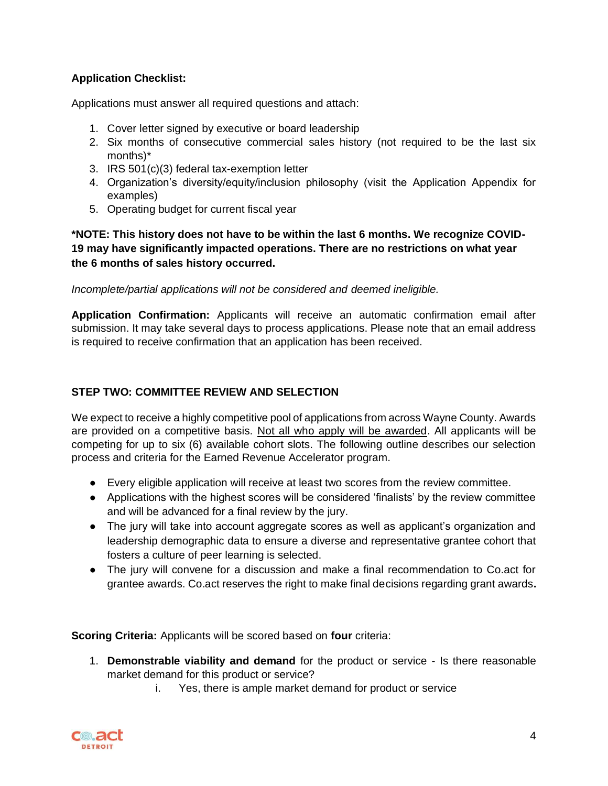## **Application Checklist:**

Applications must answer all required questions and attach:

- 1. Cover letter signed by executive or board leadership
- 2. Six months of consecutive commercial sales history (not required to be the last six months)\*
- 3. IRS 501(c)(3) federal tax-exemption letter
- 4. Organization's diversity/equity/inclusion philosophy (visit the Application Appendix for examples)
- 5. Operating budget for current fiscal year

**\*NOTE: This history does not have to be within the last 6 months. We recognize COVID-19 may have significantly impacted operations. There are no restrictions on what year the 6 months of sales history occurred.** 

*Incomplete/partial applications will not be considered and deemed ineligible.* 

**Application Confirmation:** Applicants will receive an automatic confirmation email after submission. It may take several days to process applications. Please note that an email address is required to receive confirmation that an application has been received.

## **STEP TWO: COMMITTEE REVIEW AND SELECTION**

We expect to receive a highly competitive pool of applications from across Wayne County. Awards are provided on a competitive basis. Not all who apply will be awarded. All applicants will be competing for up to six (6) available cohort slots. The following outline describes our selection process and criteria for the Earned Revenue Accelerator program.

- Every eligible application will receive at least two scores from the review committee.
- Applications with the highest scores will be considered 'finalists' by the review committee and will be advanced for a final review by the jury.
- The jury will take into account aggregate scores as well as applicant's organization and leadership demographic data to ensure a diverse and representative grantee cohort that fosters a culture of peer learning is selected.
- The jury will convene for a discussion and make a final recommendation to Co.act for grantee awards. Co.act reserves the right to make final decisions regarding grant awards**.**

**Scoring Criteria:** Applicants will be scored based on **four** criteria:

- 1. **Demonstrable viability and demand** for the product or service Is there reasonable market demand for this product or service?
	- i. Yes, there is ample market demand for product or service

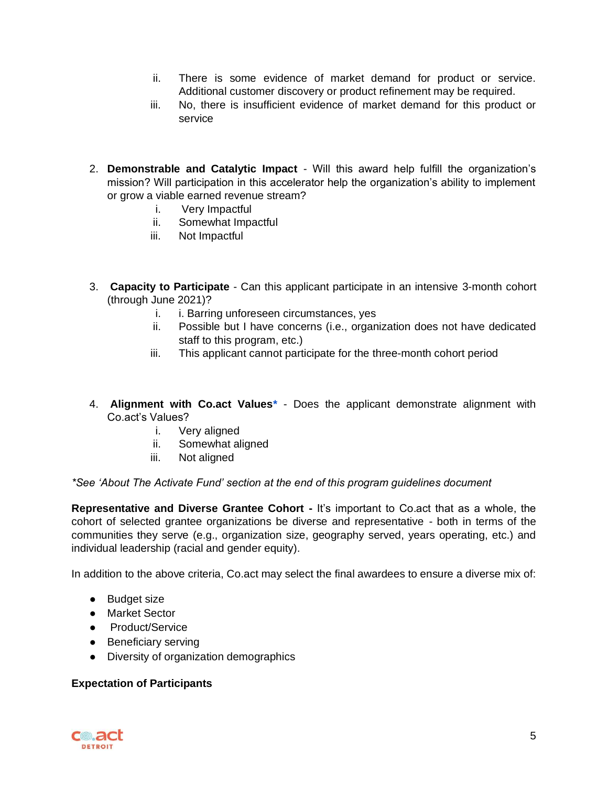- ii. There is some evidence of market demand for product or service. Additional customer discovery or product refinement may be required.
- iii. No, there is insufficient evidence of market demand for this product or service
- 2. **Demonstrable and Catalytic Impact** Will this award help fulfill the organization's mission? Will participation in this accelerator help the organization's ability to implement or grow a viable earned revenue stream?
	- i. Very Impactful
	- ii. Somewhat Impactful
	- iii. Not Impactful
- 3. **Capacity to Participate** Can this applicant participate in an intensive 3-month cohort (through June 2021)?
	- i. i. Barring unforeseen circumstances, yes
	- ii. Possible but I have concerns (i.e., organization does not have dedicated staff to this program, etc.)
	- iii. This applicant cannot participate for the three-month cohort period
- 4. **Alignment with Co.act Values\*** Does the applicant demonstrate alignment with Co.act's Values?
	- i. Very aligned
	- ii. Somewhat aligned
	- iii. Not aligned

#### *\*See 'About The Activate Fund' section at the end of this program guidelines document*

**Representative and Diverse Grantee Cohort -** It's important to Co.act that as a whole, the cohort of selected grantee organizations be diverse and representative - both in terms of the communities they serve (e.g., organization size, geography served, years operating, etc.) and individual leadership (racial and gender equity).

In addition to the above criteria, Co.act may select the final awardees to ensure a diverse mix of:

- Budget size
- Market Sector
- Product/Service
- Beneficiary serving
- Diversity of organization demographics

#### **Expectation of Participants**

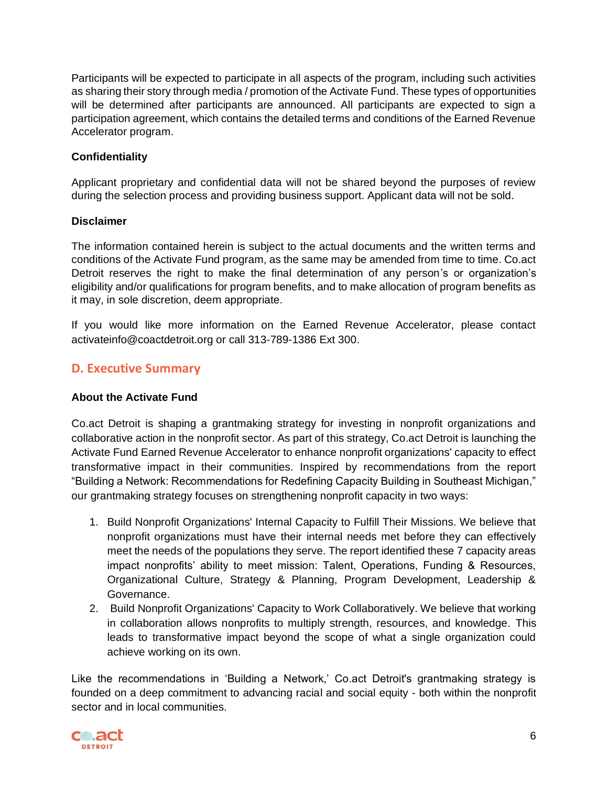Participants will be expected to participate in all aspects of the program, including such activities as sharing their story through media / promotion of the Activate Fund. These types of opportunities will be determined after participants are announced. All participants are expected to sign a participation agreement, which contains the detailed terms and conditions of the Earned Revenue Accelerator program.

### **Confidentiality**

Applicant proprietary and confidential data will not be shared beyond the purposes of review during the selection process and providing business support. Applicant data will not be sold.

#### **Disclaimer**

The information contained herein is subject to the actual documents and the written terms and conditions of the Activate Fund program, as the same may be amended from time to time. Co.act Detroit reserves the right to make the final determination of any person's or organization's eligibility and/or qualifications for program benefits, and to make allocation of program benefits as it may, in sole discretion, deem appropriate.

If you would like more information on the Earned Revenue Accelerator, please contact activateinfo@coactdetroit.org or call 313-789-1386 Ext 300.

# **D. Executive Summary**

#### **About the Activate Fund**

Co.act Detroit is shaping a grantmaking strategy for investing in nonprofit organizations and collaborative action in the nonprofit sector. As part of this strategy, Co.act Detroit is launching the Activate Fund Earned Revenue Accelerator to enhance nonprofit organizations' capacity to effect transformative impact in their communities. Inspired by recommendations from the report "Building a Network: Recommendations for Redefining Capacity Building in Southeast Michigan," our grantmaking strategy focuses on strengthening nonprofit capacity in two ways:

- 1. Build Nonprofit Organizations' Internal Capacity to Fulfill Their Missions. We believe that nonprofit organizations must have their internal needs met before they can effectively meet the needs of the populations they serve. The report identified these 7 capacity areas impact nonprofits' ability to meet mission: Talent, Operations, Funding & Resources, Organizational Culture, Strategy & Planning, Program Development, Leadership & Governance.
- 2. Build Nonprofit Organizations' Capacity to Work Collaboratively. We believe that working in collaboration allows nonprofits to multiply strength, resources, and knowledge. This leads to transformative impact beyond the scope of what a single organization could achieve working on its own.

Like the recommendations in 'Building a Network,' Co.act Detroit's grantmaking strategy is founded on a deep commitment to advancing racial and social equity - both within the nonprofit sector and in local communities.